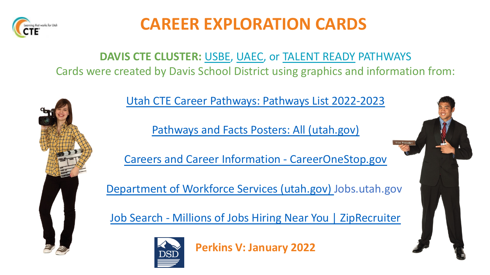

## **CAREER EXPLORATION**

### DAVIS CTE CLUSTER: USBE, UAEC, or TALEN Cards were created by Davis School District using graphic



Pathways and Facts Posters: All (

Careers and Career Information - Care

Department of Workforce Services (utah.gov)

Job Search - Millions of Jobs Hiring Near



**Perkins V: January 2022**

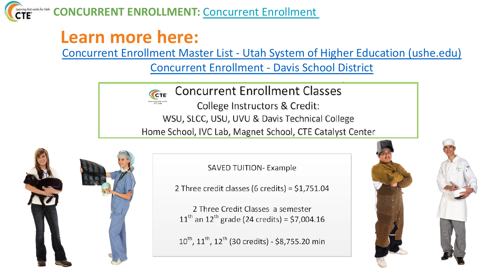

**CONCURRENT ENROLLMENT:** Concurrent Enrollmen

## **Learn more here:**

Concurrent Enrollment Master List - Utah System c Concurrent Enrollment - Davis Sc

> **Concurrent Enrollment Cl** CTE College Instructors & Credi WSU, SLCC, USU, UVU & Davis Techni Home School, IVC Lab, Magnet School, CTE



**SAVED TUITION- Example** 

2 Three credit classes (6 credits) =  $$1,75$ 

2 Three Credit Classes a semester  $11^{th}$  an  $12^{th}$  grade (24 credits) = \$7,004

 $10^{\text{th}}$ ,  $11^{\text{th}}$ ,  $12^{\text{th}}$  (30 credits) - \$8,755.20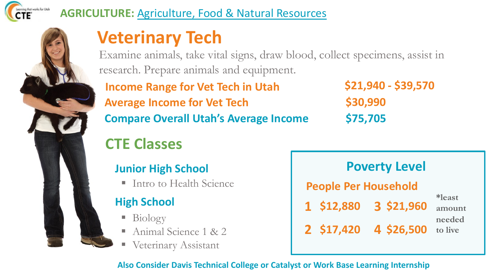

### **AGRICULTURE:** Agriculture, Food & Natural Resources

## **Veterinary Tech**

Examine animals, take vital signs, draw blood, collect specimens, assist in research. Prepare animals and equipment.

**Income Range for Vet Tech in Utah Compare Overall Utah's Average Income \$75,705 Average Income for Vet Tech** 

**\$21,940 - \$39,570 \$30,990**

## **CTE Classes**

### **Junior High School**

## **High School**

- § Biology
- § Animal Science 1 & 2
- Veterinary Assistant

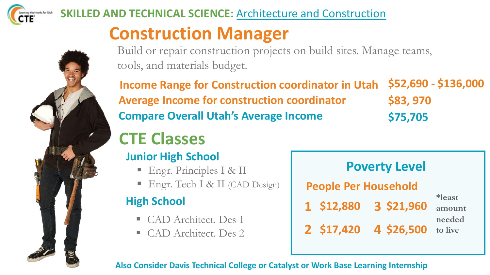



### **SKILLED AND TECHNICAL SCIENCE:** Architecture and Construction

## **Construction Manager**

Build or repair construction projects on build sites. Manage teams, tools, and materials budget.

**\$52,690 - \$136,000 \$83, 970 Compare Overall Utah's Average Income \$75,705 Income Range for Construction coordinator in Utah Average Income for construction coordinator**

## **CTE Classes**

### **Junior High School**

- Engr. Principles I & II
- Engr. Tech I & II (CAD Design)

## **High School**

- § CAD Architect. Des 1
- § CAD Architect. Des 2

| <b>Poverty Level</b>                |            |                                       |  |  |
|-------------------------------------|------------|---------------------------------------|--|--|
| <b>People Per Household</b>         |            |                                       |  |  |
| 1 \$12,880<br>2 \$17,420 4 \$26,500 | 3 \$21,960 | *least<br>amount<br>needed<br>to live |  |  |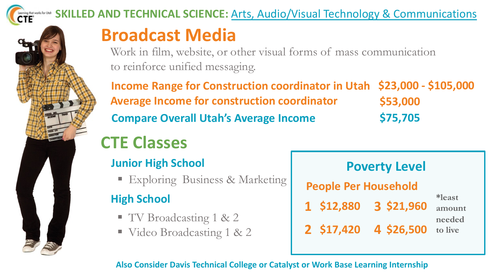

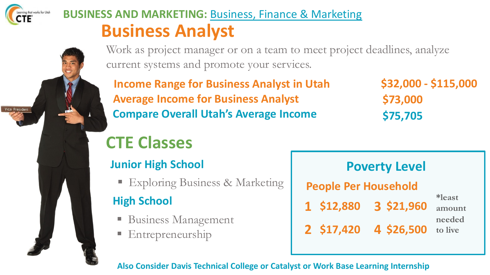

Vice President

## **BUSINESS AND MARKETING:** Business, Finance & Marketing **Business Analyst**

Work as project manager or on a team to meet project deadlines, analyze current systems and promote your services.

**Income Range for Business Analyst in Utah Average Income for Business Analyst Compare Overall Utah's Average Income**

**\$32,000 - \$115,000 \$73,000 \$75,705**

## **CTE Classes**

### **Junior High School**

■ Exploring Business & Marketing

### **High School**

- Business Management
- **Entrepreneurship**

**1 \$12,880 3 \$21,960 2 \$17,420 4 \$26,500 People Per Household Poverty Level \*least amount needed to live**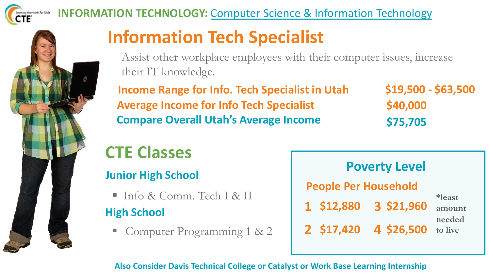



### **INFORMATION TECHNOLOGY:** Computer Science & Information Technology

## **Information Tech Specialist**

Assist other workplace employees with their computer issues, increase their IT knowledge.

**Income Range for Info. Tech Specialist in Utah Average Income for Info Tech Specialist Compare Overall Utah's Average Income**

**\$19,500 - \$63,500 \$40,000 \$75,705**

## **CTE Classes**

### **Junior High School**

- Info & Comm. Tech I & II **High School**
	- § Computer Programming 1 & 2

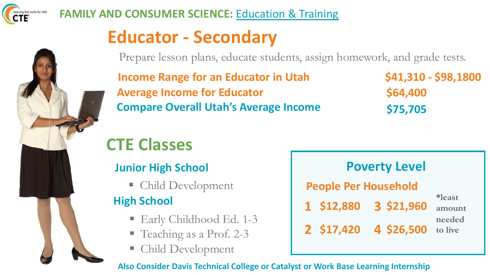

### **FAMILY AND CONSUMER SCIENCE: Education & Training**

## **Educator - Secondary**

Prepare lesson plans, educate students, assign homework, and grade tests.

**Income Range for an Educator in Utah Average Income for Educator Compare Overall Utah's Average Income** **\$41,310 - \$98,1800 \$64,400 \$75,705**

## **CTE Classes**

### **Junior High School**

§ Child Development

### **High School**

- Early Childhood Ed. 1-3
- Teaching as a Prof. 2-3
- § Child Development

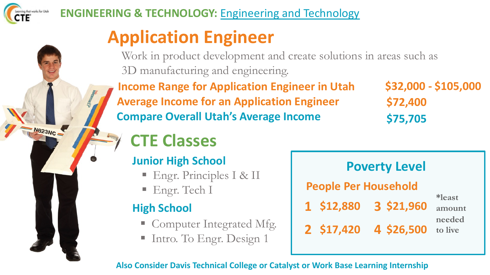

M823NC

# **Application Engineer**

Work in product development and create solutions in areas such as 3D manufacturing and engineering.

**Income Range for Application Engineer in Utah Average Income for an Application Engineer Compare Overall Utah's Average Income**

**\$32,000 - \$105,000 \$72,400 \$75,705**

## **CTE Classes**

## **Junior High School**

- Engr. Principles I & II
- Engr. Tech I

## **High School**

- Computer Integrated Mfg.
- Intro. To Engr. Design 1

| <b>Poverty Level</b>        |            |                   |  |  |  |
|-----------------------------|------------|-------------------|--|--|--|
| <b>People Per Household</b> |            |                   |  |  |  |
| 1 \$12,880                  | 3 \$21,960 | *least<br>amount  |  |  |  |
| 2 \$17,420                  | 4 \$26,500 | needed<br>to live |  |  |  |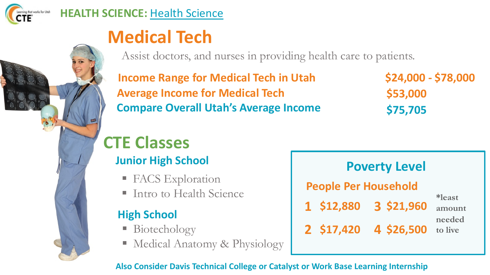

## **Medical Tech**

Assist doctors, and nurses in providing health care to patients.

**Income Range for Medical Tech in Utah Average Income for Medical Tech Compare Overall Utah's Average Income** **\$24,000 - \$78,000 \$53,000 \$75,705**

## **CTE Classes**

## **Junior High School**

- FACS Exploration
- Intro to Health Science

## **High School**

- Biotechology
- Medical Anatomy & Physiology

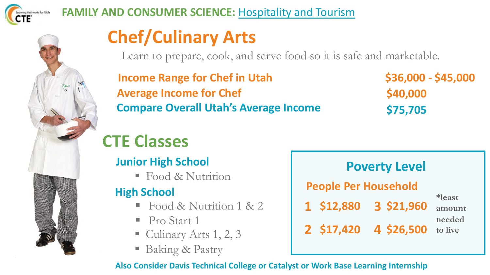

### **FAMILY AND CONSUMER SCIENCE: Hospitality and Tourism**

# **Chef/Culinary Arts**

Learn to prepare, cook, and serve food so it is safe and marketable.

**Income Range for Chef in Utah Average Income for Chef Compare Overall Utah's Average Income** **\$36,000 - \$45,000 \$40,000 \$75,705**

## **CTE Classes**

### **Junior High School**

■ Food & Nutrition

## **High School**

- § Food & Nutrition 1 & 2
- Pro Start 1
- Culinary Arts 1, 2, 3
- Baking & Pastry

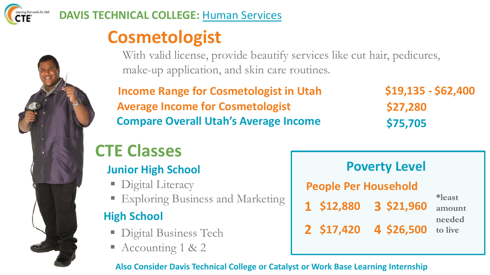

### **DAVIS TECHNICAL COLLEGE:** Human Services

## **Cosmetologist**

With valid license, provide beautify services like cut hair, pedicures, make-up application, and skin care routines.

**Income Range for Cosmetologist in Utah Average Income for Cosmetologist Compare Overall Utah's Average Income**

**\$19,135 - \$62,400 \$27,280 \$75,705**

## **CTE Classes**

## **Junior High School**

- Digital Literacy
- § Exploring Business and Marketing **<sup>1</sup> \$12,880 <sup>3</sup> \$21,960**

## **High School**

- Digital Business Tech
- Accounting 1 & 2

| <b>Poverty Level</b>        |            |                   |  |  |
|-----------------------------|------------|-------------------|--|--|
| <b>People Per Household</b> |            |                   |  |  |
| 1 \$12,880                  | 3 \$21,960 | *least<br>amount  |  |  |
| 2 \$17,420                  | 4 \$26,500 | needed<br>to live |  |  |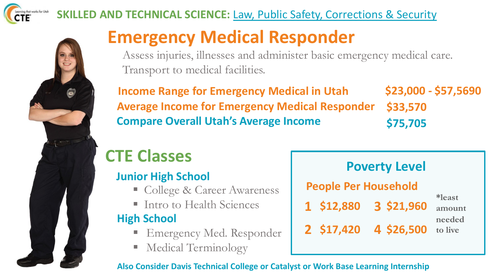



### **SKILLED AND TECHNICAL SCIENCE: Law, Public Safety, Corrections & Security**

## **Emergency Medical Responder**

Assess injuries, illnesses and administer basic emergency medical care. Transport to medical facilities.

**\$23,000 - \$57,5690 \$33,570 \$75,705 Income Range for Emergency Medical in Utah Average Income for Emergency Medical Responder Compare Overall Utah's Average Income**

## **CTE Classes**

### **Junior High School**

- College & Career Awareness
- 

## **High School**

- § Emergency Med. Responder
- § Medical Terminology

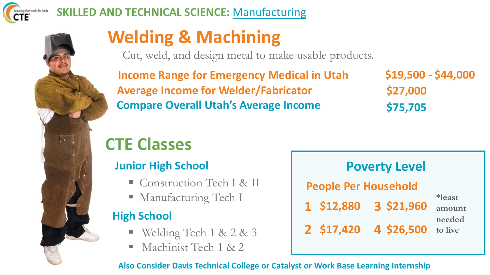

### **SKILLED AND TECHNICAL SCIENCE:** Manufacturing



## **Welding & Machining**

Cut, weld, and design metal to make usable products.

**Income Range for Emergency Medical in Utah Average Income for Welder/Fabricator Compare Overall Utah's Average Income**

**\$19,500 - \$44,000 \$27,000 \$75,705**

## **CTE Classes**

### **Junior High School**

- Construction Tech I & II
- 

### **High School**

- § Welding Tech 1 & 2 & 3
- § Machinist Tech 1 & 2